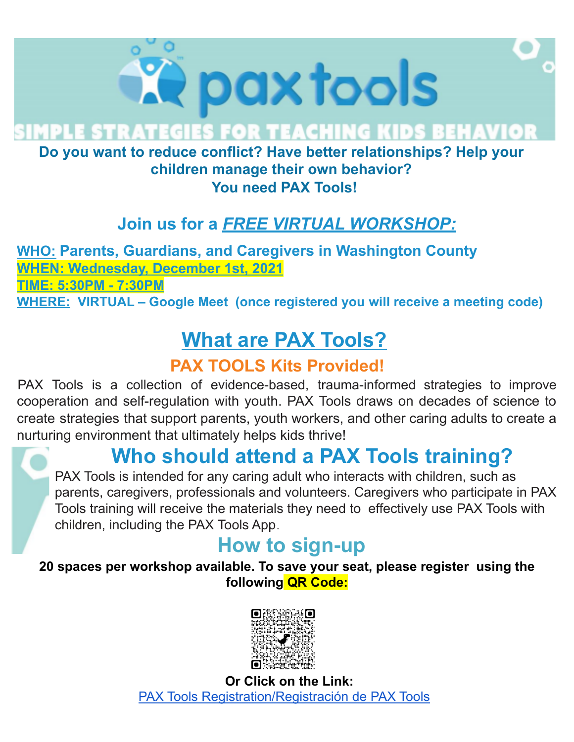

**MPLE STRATEGIES FOR TEACHING KIDS BEHAVIOR** 

#### **Do you want to reduce conflict? Have better relationships? Help your children manage their own behavior? You need PAX Tools!**

#### **Join us for a** *FREE VIRTUAL WORKSHOP:*

**WHO: Parents, Guardians, and Caregivers in Washington County WHEN: Wednesday, December 1st, 2021 TIME: 5:30PM - 7:30PM WHERE: VIRTUAL – Google Meet (once registered you will receive a meeting code)**

# **What are PAX Tools?**

#### **PAX TOOLS Kits Provided!**

PAX Tools is a collection of evidence-based, trauma-informed strategies to improve cooperation and self-regulation with youth. PAX Tools draws on decades of science to create strategies that support parents, youth workers, and other caring adults to create a nurturing environment that ultimately helps kids thrive!

### **Who should attend a PAX Tools training?**

PAX Tools is intended for any caring adult who interacts with children, such as parents, caregivers, professionals and volunteers. Caregivers who participate in PAX Tools training will receive the materials they need to effectively use PAX Tools with children, including the PAX Tools App.

### **How to sign-up**

**20 spaces per workshop available. To save your seat, please register using the following QR Code:**



**Or Click on the Link:** PAX Tools [Registration/Registración](https://forms.gle/Qe6qWx2rfuRzZpTV8) de PAX Tools